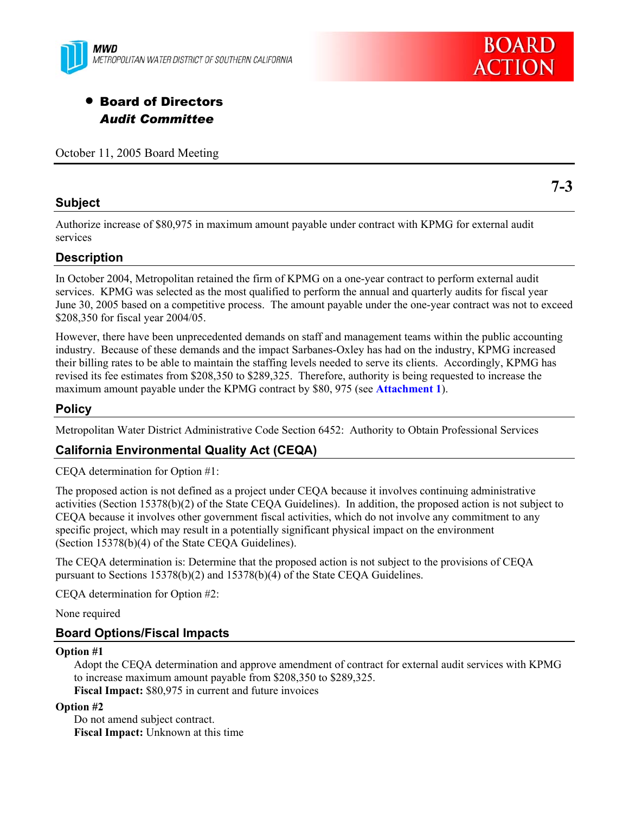



# • Board of Directors *Audit Committee*

October 11, 2005 Board Meeting

#### **Subject**

**7-3** 

Authorize increase of \$80,975 in maximum amount payable under contract with KPMG for external audit services

### **Description**

In October 2004, Metropolitan retained the firm of KPMG on a one-year contract to perform external audit services. KPMG was selected as the most qualified to perform the annual and quarterly audits for fiscal year June 30, 2005 based on a competitive process. The amount payable under the one-year contract was not to exceed \$208,350 for fiscal year 2004/05.

However, there have been unprecedented demands on staff and management teams within the public accounting industry. Because of these demands and the impact Sarbanes-Oxley has had on the industry, KPMG increased their billing rates to be able to maintain the staffing levels needed to serve its clients. Accordingly, KPMG has revised its fee estimates from \$208,350 to \$289,325. Therefore, authority is being requested to increase the maximum amount payable under the KPMG contract by \$80, 975 (see **Attachment 1**).

# **Policy**

Metropolitan Water District Administrative Code Section 6452: Authority to Obtain Professional Services

# **California Environmental Quality Act (CEQA)**

CEQA determination for Option #1:

The proposed action is not defined as a project under CEQA because it involves continuing administrative activities (Section 15378(b)(2) of the State CEQA Guidelines). In addition, the proposed action is not subject to CEQA because it involves other government fiscal activities, which do not involve any commitment to any specific project, which may result in a potentially significant physical impact on the environment (Section 15378(b)(4) of the State CEQA Guidelines).

The CEQA determination is: Determine that the proposed action is not subject to the provisions of CEQA pursuant to Sections 15378(b)(2) and 15378(b)(4) of the State CEQA Guidelines.

CEQA determination for Option #2:

None required

#### **Board Options/Fiscal Impacts**

#### **Option #1**

Adopt the CEQA determination and approve amendment of contract for external audit services with KPMG to increase maximum amount payable from \$208,350 to \$289,325. **Fiscal Impact:** \$80,975 in current and future invoices

#### **Option #2**

Do not amend subject contract. **Fiscal Impact:** Unknown at this time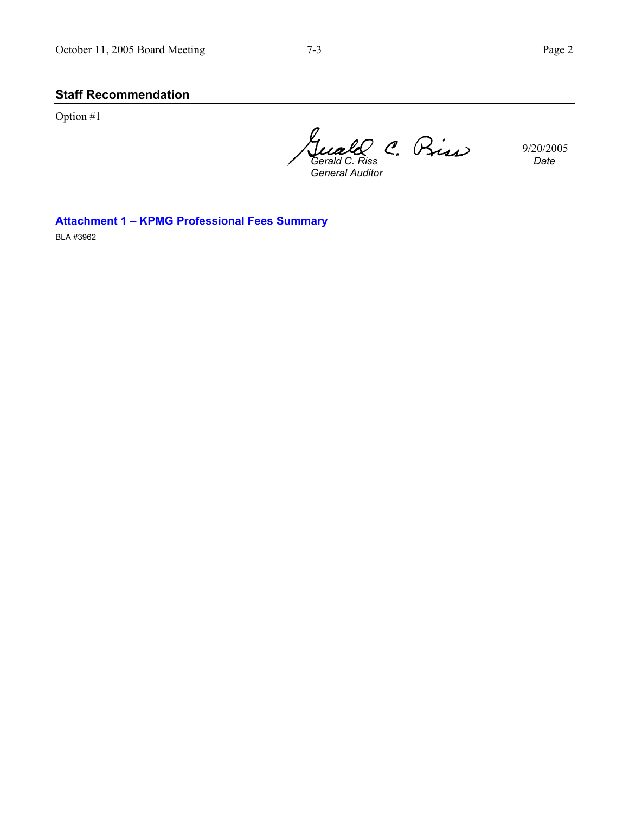# **Staff Recommendation**

Option #1

9/20/2005 *Gerald C. Riss General Auditor Date* 

**Attachment 1 – KPMG Professional Fees Summary** 

BLA #3962